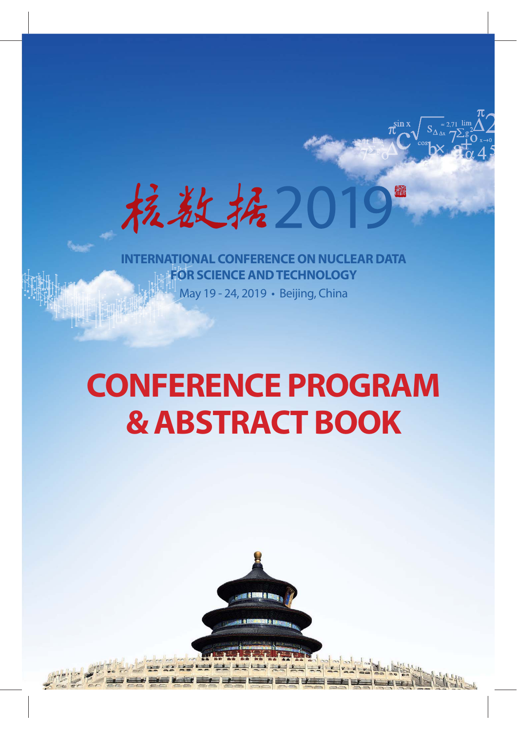抗敌,抚201 渝

May 19 - 24, 2019 • Beijing, China **ERNATIONAL CONFERENCE ON NUCLEAR DATA FOR SCIENCE AND TECHNOLOGY** 

# **CONFERENCE PROGRAM & ABSTRACT BOOK**



May 19 - 24, 2019 • Beijing, China **INTERNATIONAL CONFERENCE ONNUCLEARDATA FOR SCIENCEANDTECHNOLOGY**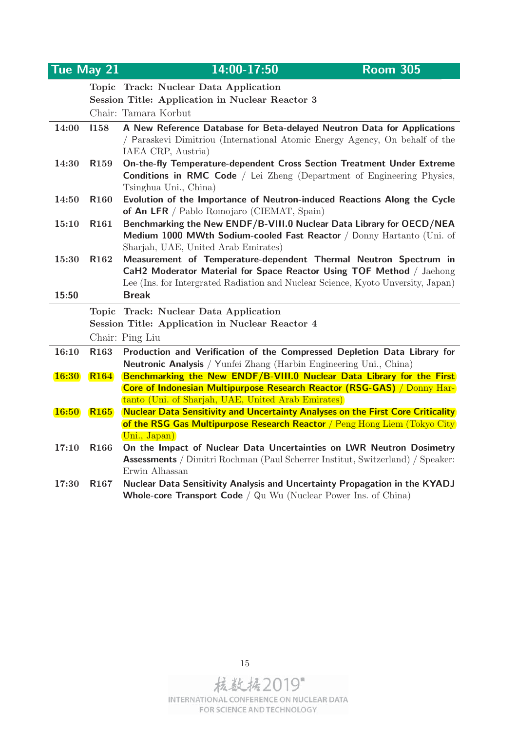| Tue May 21   |                  | 14:00-17:50<br><b>Room 305</b>                                                                                                                                       |
|--------------|------------------|----------------------------------------------------------------------------------------------------------------------------------------------------------------------|
|              |                  | Topic Track: Nuclear Data Application                                                                                                                                |
|              |                  | Session Title: Application in Nuclear Reactor 3                                                                                                                      |
|              |                  | Chair: Tamara Korbut                                                                                                                                                 |
| 14:00        | 1158             | A New Reference Database for Beta-delayed Neutron Data for Applications                                                                                              |
|              |                  | / Paraskevi Dimitriou (International Atomic Energy Agency, On behalf of the<br>IAEA CRP, Austria)                                                                    |
| 14:30        | R <sub>159</sub> | On-the-fly Temperature-dependent Cross Section Treatment Under Extreme                                                                                               |
|              |                  | <b>Conditions in RMC Code</b> / Lei Zheng (Department of Engineering Physics,<br>Tsinghua Uni., China)                                                               |
| 14:50        | R <sub>160</sub> | Evolution of the Importance of Neutron-induced Reactions Along the Cycle<br>of An LFR / Pablo Romojaro (CIEMAT, Spain)                                               |
| 15:10        | R <sub>161</sub> | Benchmarking the New ENDF/B-VIII.0 Nuclear Data Library for OECD/NEA                                                                                                 |
|              |                  | Medium 1000 MWth Sodium-cooled Fast Reactor / Donny Hartanto (Uni. of                                                                                                |
|              |                  | Sharjah, UAE, United Arab Emirates)                                                                                                                                  |
| 15:30        | R <sub>162</sub> | Measurement of Temperature-dependent Thermal Neutron Spectrum in                                                                                                     |
|              |                  | CaH2 Moderator Material for Space Reactor Using TOF Method / Jaehong<br>Lee (Ins. for Intergrated Radiation and Nuclear Science, Kyoto Unversity, Japan)             |
| 15:50        |                  | <b>Break</b>                                                                                                                                                         |
|              |                  | Topic Track: Nuclear Data Application                                                                                                                                |
|              |                  | Session Title: Application in Nuclear Reactor 4                                                                                                                      |
|              |                  | Chair: Ping Liu                                                                                                                                                      |
| 16:10        | R <sub>163</sub> | Production and Verification of the Compressed Depletion Data Library for                                                                                             |
|              |                  | <b>Neutronic Analysis</b> / Yunfei Zhang (Harbin Engineering Uni., China)                                                                                            |
| <b>16:30</b> | <b>R164</b>      | Benchmarking the New ENDF/B-VIII.0 Nuclear Data Library for the First                                                                                                |
|              |                  | <b>Core of Indonesian Multipurpose Research Reactor (RSG-GAS)</b> / Donny Har-                                                                                       |
|              |                  | tanto (Uni. of Sharjah, UAE, United Arab Emirates)                                                                                                                   |
| <b>16:50</b> | <b>R165</b>      | <b>Nuclear Data Sensitivity and Uncertainty Analyses on the First Core Criticality</b><br>of the RSG Gas Multipurpose Research Reactor / Peng Hong Liem (Tokyo City) |
|              |                  | Uni., Japan)                                                                                                                                                         |
| 17:10        | R <sub>166</sub> | On the Impact of Nuclear Data Uncertainties on LWR Neutron Dosimetry                                                                                                 |
|              |                  | <b>Assessments</b> / Dimitri Rochman (Paul Scherrer Institut, Switzerland) / Speaker:                                                                                |
|              |                  | Erwin Alhassan                                                                                                                                                       |
| 17:30        | R <sub>167</sub> | Nuclear Data Sensitivity Analysis and Uncertainty Propagation in the KYADJ                                                                                           |
|              |                  | <b>Whole-core Transport Code / Qu Wu (Nuclear Power Ins. of China)</b>                                                                                               |



15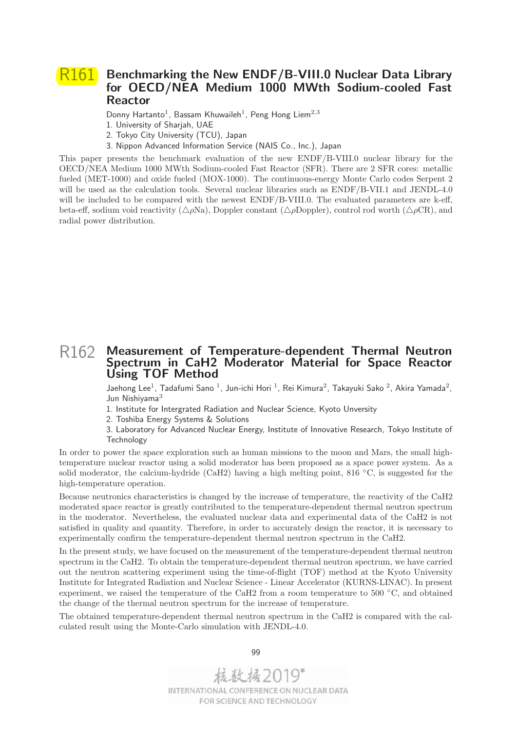## R161 **Benchmarking the New ENDF/B-VIII.0 Nuclear Data Library for OECD/NEA Medium 1000 MWth Sodium-cooled Fast Reactor**

Donny Hartanto<sup>1</sup>, Bassam Khuwaileh<sup>1</sup>, Peng Hong Liem<sup>2,3</sup>

- 1. University of Sharjah, UAE
- 2. Tokyo City University (TCU), Japan
- 3. Nippon Advanced Information Service (NAIS Co., Inc.), Japan

This paper presents the benchmark evaluation of the new ENDF/B-VIII.0 nuclear library for the OECD/NEA Medium 1000 MWth Sodium-cooled Fast Reactor (SFR). There are 2 SFR cores: metallic fueled (MET-1000) and oxide fueled (MOX-1000). The continuous-energy Monte Carlo codes Serpent 2 will be used as the calculation tools. Several nuclear libraries such as ENDF/B-VII.1 and JENDL-4.0 will be included to be compared with the newest ENDF/B-VIII.0. The evaluated parameters are k-eff, beta-eff, sodium void reactivity ( $\triangle\rho$ Na), Doppler constant ( $\triangle\rho$ Doppler), control rod worth ( $\triangle\rho$ CR), and radial power distribution.

## R162 **Measurement of Temperature-dependent Thermal Neutron Spectrum in CaH2 Moderator Material for Space Reactor Using TOF Method**

Jaehong Lee<sup>1</sup>, Tadafumi Sano<sup>1</sup>, Jun-ichi Hori<sup>1</sup>, Rei Kimura<sup>2</sup>, Takayuki Sako<sup>2</sup>, Akira Yamada<sup>2</sup>, Jun Nishiyama<sup>3</sup>

- 1. Institute for Intergrated Radiation and Nuclear Science, Kyoto Unversity
- 2. Toshiba Energy Systems & Solutions

3. Laboratory for Advanced Nuclear Energy, Institute of Innovative Research, Tokyo Institute of Technology

In order to power the space exploration such as human missions to the moon and Mars, the small hightemperature nuclear reactor using a solid moderator has been proposed as a space power system. As a solid moderator, the calcium-hydride (CaH2) having a high melting point, 816 ◦C, is suggested for the high-temperature operation.

Because neutronics characteristics is changed by the increase of temperature, the reactivity of the CaH2 moderated space reactor is greatly contributed to the temperature-dependent thermal neutron spectrum in the moderator. Nevertheless, the evaluated nuclear data and experimental data of the CaH2 is not satisfied in quality and quantity. Therefore, in order to accurately design the reactor, it is necessary to experimentally confirm the temperature-dependent thermal neutron spectrum in the CaH2.

In the present study, we have focused on the measurement of the temperature-dependent thermal neutron spectrum in the CaH2. To obtain the temperature-dependent thermal neutron spectrum, we have carried out the neutron scattering experiment using the time-of-flight (TOF) method at the Kyoto University Institute for Integrated Radiation and Nuclear Science - Linear Accelerator (KURNS-LINAC). In present experiment, we raised the temperature of the CaH2 from a room temperature to 500 ◦C, and obtained the change of the thermal neutron spectrum for the increase of temperature.

The obtained temperature-dependent thermal neutron spectrum in the CaH2 is compared with the calculated result using the Monte-Carlo simulation with JENDL-4.0.



99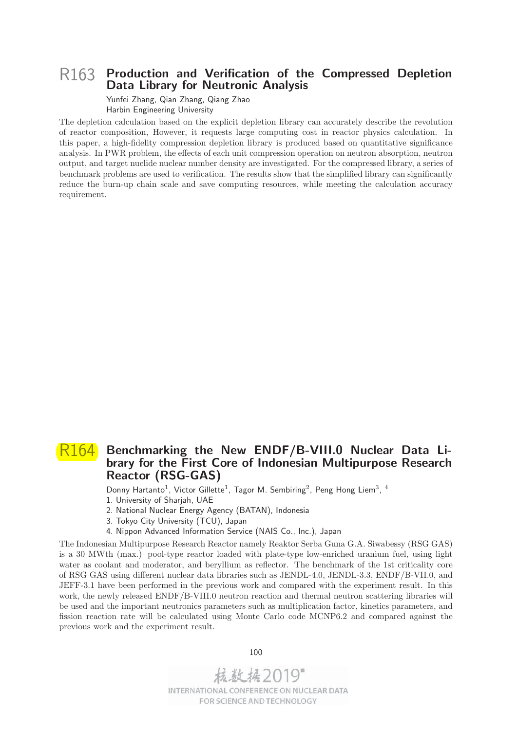#### R163 **Production and Verification of the Compressed Depletion Data Library for Neutronic Analysis**

Yunfei Zhang, Qian Zhang, Qiang Zhao Harbin Engineering University

The depletion calculation based on the explicit depletion library can accurately describe the revolution of reactor composition, However, it requests large computing cost in reactor physics calculation. In this paper, a high-fidelity compression depletion library is produced based on quantitative significance analysis. In PWR problem, the effects of each unit compression operation on neutron absorption, neutron output, and target nuclide nuclear number density are investigated. For the compressed library, a series of benchmark problems are used to verification. The results show that the simplified library can significantly reduce the burn-up chain scale and save computing resources, while meeting the calculation accuracy requirement.

## R164 **Benchmarking the New ENDF/B-VIII.0 Nuclear Data Library for the First Core of Indonesian Multipurpose Research Reactor (RSG-GAS)**

Donny Hartanto<sup>1</sup>, Victor Gillette<sup>1</sup>, Tagor M. Sembiring<sup>2</sup>, Peng Hong Liem<sup>3</sup>, <sup>4</sup>

- 1. University of Sharjah, UAE
- 2. National Nuclear Energy Agency (BATAN), Indonesia
- 3. Tokyo City University (TCU), Japan
- 4. Nippon Advanced Information Service (NAIS Co., Inc.), Japan

The Indonesian Multipurpose Research Reactor namely Reaktor Serba Guna G.A. Siwabessy (RSG GAS) is a 30 MWth (max.) pool-type reactor loaded with plate-type low-enriched uranium fuel, using light water as coolant and moderator, and beryllium as reflector. The benchmark of the 1st criticality core of RSG GAS using different nuclear data libraries such as JENDL-4.0, JENDL-3.3, ENDF/B-VII.0, and JEFF-3.1 have been performed in the previous work and compared with the experiment result. In this work, the newly released ENDF/B-VIII.0 neutron reaction and thermal neutron scattering libraries will be used and the important neutronics parameters such as multiplication factor, kinetics parameters, and fission reaction rate will be calculated using Monte Carlo code MCNP6.2 and compared against the previous work and the experiment result.

100

核数据2019 INTERNATIONAL CONFERENCE ON NUCLEAR DATA FOR SCIENCE AND TECHNOLOGY